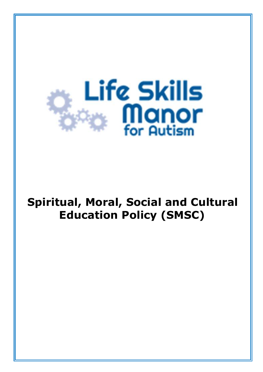

# **Spiritual, Moral, Social and Cultural Education Policy (SMSC)**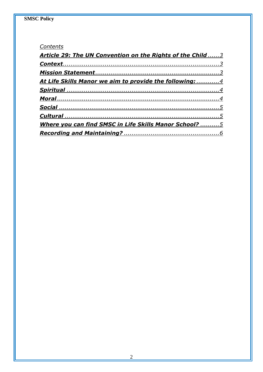#### Contents

| Article 29: The UN Convention on the Rights of the Child 3 |  |
|------------------------------------------------------------|--|
|                                                            |  |
|                                                            |  |
| At Life Skills Manor we aim to provide the following: 4    |  |
|                                                            |  |
|                                                            |  |
|                                                            |  |
|                                                            |  |
| Where you can find SMSC in Life Skills Manor School? 5     |  |
|                                                            |  |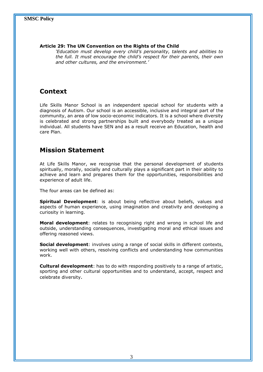#### **Article 29: The UN Convention on the Rights of the Child**

*'Education must develop every child's personality, talents and abilities to the full. It must encourage the child's respect for their parents, their own and other cultures, and the environment.'*

# **Context**

Life Skills Manor School is an independent special school for students with a diagnosis of Autism. Our school is an accessible, inclusive and integral part of the community, an area of low socio-economic indicators. It is a school where diversity is celebrated and strong partnerships built and everybody treated as a unique individual. All students have SEN and as a result receive an Education, health and care Plan.

## **Mission Statement**

At Life Skills Manor, we recognise that the personal development of students spiritually, morally, socially and culturally plays a significant part in their ability to achieve and learn and prepares them for the opportunities, responsibilities and experience of adult life.

The four areas can be defined as:

**Spiritual Development**: is about being reflective about beliefs, values and aspects of human experience, using imagination and creativity and developing a curiosity in learning.

**Moral development**: relates to recognising right and wrong in school life and outside, understanding consequences, investigating moral and ethical issues and offering reasoned views.

**Social development**: involves using a range of social skills in different contexts, working well with others, resolving conflicts and understanding how communities work.

**Cultural development**: has to do with responding positively to a range of artistic, sporting and other cultural opportunities and to understand, accept, respect and celebrate diversity.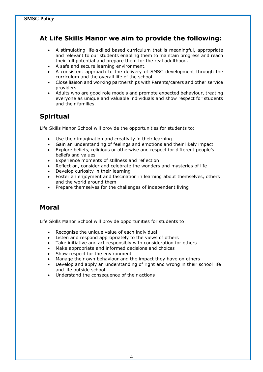# **At Life Skills Manor we aim to provide the following:**

- A stimulating life-skilled based curriculum that is meaningful, appropriate and relevant to our students enabling them to maintain progress and reach their full potential and prepare them for the real adulthood.
- A safe and secure learning environment.
- A consistent approach to the delivery of SMSC development through the curriculum and the overall life of the school.
- Close liaison and working partnerships with Parents/carers and other service providers.
- Adults who are good role models and promote expected behaviour, treating everyone as unique and valuable individuals and show respect for students and their families.

# **Spiritual**

Life Skills Manor School will provide the opportunities for students to:

- Use their imagination and creativity in their learning
- Gain an understanding of feelings and emotions and their likely impact
- Explore beliefs, religious or otherwise and respect for different people's beliefs and values
- Experience moments of stillness and reflection
- Reflect on, consider and celebrate the wonders and mysteries of life
- Develop curiosity in their learning
- Foster an enjoyment and fascination in learning about themselves, others and the world around them
- Prepare themselves for the challenges of independent living

# **Moral**

Life Skills Manor School will provide opportunities for students to:

- Recognise the unique value of each individual
- Listen and respond appropriately to the views of others
- Take initiative and act responsibly with consideration for others
- Make appropriate and informed decisions and choices
- Show respect for the environment
- Manage their own behaviour and the impact they have on others
- Develop and apply an understanding of right and wrong in their school life and life outside school.
- Understand the consequence of their actions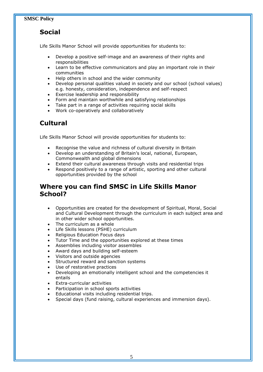# **Social**

Life Skills Manor School will provide opportunities for students to:

- Develop a positive self-image and an awareness of their rights and responsibilities
- Learn to be effective communicators and play an important role in their communities
- Help others in school and the wider community
- Develop personal qualities valued in society and our school (school values) e.g. honesty, consideration, independence and self-respect
- Exercise leadership and responsibility
- Form and maintain worthwhile and satisfying relationships
- Take part in a range of activities requiring social skills
- Work co-operatively and collaboratively

## **Cultural**

Life Skills Manor School will provide opportunities for students to:

- Recognise the value and richness of cultural diversity in Britain
- Develop an understanding of Britain's local, national, European, Commonwealth and global dimensions
- Extend their cultural awareness through visits and residential trips
- Respond positively to a range of artistic, sporting and other cultural opportunities provided by the school

#### **Where you can find SMSC in Life Skills Manor School?**

- Opportunities are created for the development of Spiritual, Moral, Social and Cultural Development through the curriculum in each subject area and in other wider school opportunities.
- The curriculum as a whole
- Life Skills lessons (PSHE) curriculum
- Religious Education Focus days
- Tutor Time and the opportunities explored at these times
- Assemblies including visitor assembles
- Award days and building self-esteem
- Visitors and outside agencies
- Structured reward and sanction systems
- Use of restorative practices
- Developing an emotionally intelligent school and the competencies it entails
- Extra-curricular activities
- Participation in school sports activities
- Educational visits including residential trips.
- Special days (fund raising, cultural experiences and immersion days).